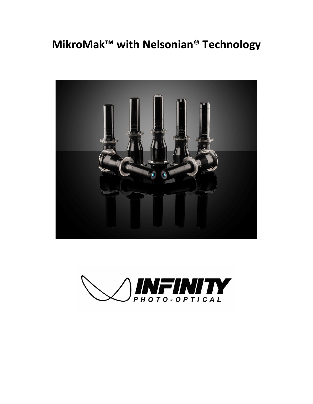## **MikroMak™ with Nelsonian® Technology**



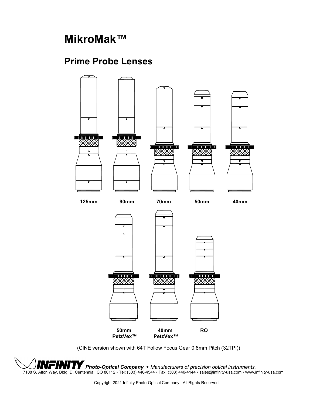## **MikroMak™**

## **Prime Probe Lenses**



(CINE version shown with 64T Follow Focus Gear 0.8mm Pitch (32TPI))

*Photo-Optical Company* • *Manufacturers of precision optical instruments.* 7108 S. Alton Way, Bldg. D, Centennial, CO 80112 • Tel: (303) 440-4544 • Fax: (303) 440-4144 • sales@infinity-usa.com • www.infinity-usa.com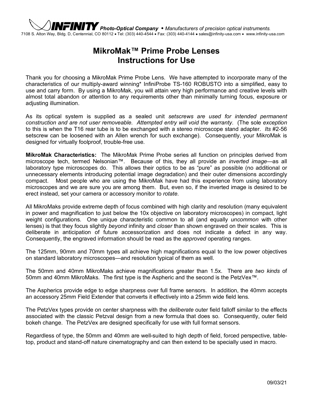

## **MikroMak™ Prime Probe Lenses Instructions for Use**

Thank you for choosing a MikroMak Prime Probe Lens. We have attempted to incorporate many of the characteristics of our multiply-award winning\* InfiniProbe TS-160 ROBUSTO into a simplified, easy to use and carry form. By using a MikroMak, you will attain very high performance and creative levels with almost total abandon or attention to any requirements other than minimally turning focus, exposure or adjusting illumination.

As its optical system is supplied as a sealed unit *setscrews are used for intended permanent construction and are not user removeable. Attempted entry will void the warranty*. (The sole *exception* to this is when the T16 rear tube is to be exchanged with a stereo microscope stand adapter. *Its* #2-56 setscrew can be loosened with an Allen wrench for such exchange). Consequently, your MikroMak is designed for virtually foolproof, trouble-free use.

**MikroMak Characteristics:** The MikroMak Prime Probe series all function on principles derived from microscope tech, termed Nelsonian™. Because of this, they all provide an *inverted image*—as all laboratory type microscopes do. This allows their optics to be as "pure" as possible (no additional or unnecessary elements introducing potential image degradation) and their outer dimensions accordingly compact. Most people who are using the MikroMak have had this experience from using laboratory microscopes and we are sure you are among them. But, even so, if the inverted image is desired to be erect instead, set your camera or accessory monitor to *rotate*.

All MikroMaks provide extreme depth of focus combined with high clarity and resolution (many equivalent in power and magnification to just below the 10x objective on laboratory microscopes) in compact, light weight configurations. One unique characteristic common to all (and equally *uncommon* with other lenses) is that they focus slightly *beyond* infinity and *closer* than shown engraved on their scales. This is deliberate in anticipation of future accessorization and does not indicate a defect in any way. Consequently, the engraved information should be read as the *approved* operating ranges.

The 125mm, 90mm and 70mm types all achieve high magnifications equal to the low power objectives on standard laboratory microscopes—and resolution typical of them as well.

The 50mm and 40mm MikroMaks achieve magnifications greater than 1.5x. There are *two kinds* of 50mm and 40mm MikroMaks. The first type is the Aspheric and the second is the PetzVex™.

The Aspherics provide edge to edge sharpness over full frame sensors. In addition, the 40mm accepts an accessory 25mm Field Extender that converts it effectively into a 25mm wide field lens.

The PetzVex types provide on center sharpness with the *deliberate* outer field falloff similar to the effects associated with the classic Petzval design from a new formula that does so. Consequently, outer field bokeh change. The PetzVex are designed specifically for use with full format sensors.

Regardless of type, the 50mm and 40mm are well-suited to high depth of field, forced perspective, tabletop, product and stand-off nature cinematography and can then extend to be specially used in macro.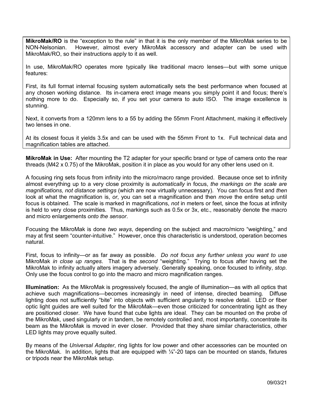**MikroMak/RO** is the "exception to the rule" in that it is the only member of the MikroMak series to be NON-Nelsonian<br>NON-Nelsonian L However Lalmost every MikroMak accessory and adapter can be used with However, almost every MikroMak accessory and adapter can be used with MikroMak/RO, so their instructions apply to it as well.

In use, MikroMak/RO operates more typically like traditional macro lenses—but with some unique features:

First, its full format internal focusing system automatically sets the best performance when focused at any chosen working distance. Its in-camera erect image means you simply point it and focus; there's nothing more to do. Especially so, if you set your camera to auto ISO. The image excellence is stunning.

Next, it converts from a 120mm lens to a 55 by adding the 55mm Front Attachment, making it effectively two lenses in one.

At its closest focus it yields 3.5x and can be used with the 55mm Front to 1x. Full technical data and magnification tables are attached.

**MikroMak in Use:** After mounting the T2 adapter for your specific brand or type of camera onto the rear threads (M42 x 0.75) of the MikroMak, position it in place as you would for any other lens used on it.

A focusing ring sets focus from infinity into the micro/macro range provided. Because once set to infinity almost everything up to a very close proximity is *automatically* in focus, *the markings on the scale are magnifications, not distance settings* (which are now virtually unnecessary). You can focus first and *then* look at what the magnification is, *or*, you can set a magnification and then *move* the entire setup until focus is obtained. The scale is marked in magnifications, *not* in meters or feet, since the focus at infinity is held to very close proximities. Thus, markings such as 0.5x or 3x, etc., reasonably denote the macro and micro enlargements *onto the sensor*.

Focusing the MikroMak is done *two ways*, depending on the subject and macro/micro "weighting," and may at first seem "counter-intuitive." However, once this characteristic is understood, operation becomes natural.

First, focus to infinity—or as far away as possible. *Do not focus any further unless you want to use* MikroMak *in close up ranges*. That is the *second* "weighting." Trying to focus after having set the MikroMak to infinity actually alters imagery adversely. Generally speaking, once focused to infinity, *stop*. Only use the focus control to go into the macro and micro magnification ranges.

**Illumination:** As the MikroMak is progressively focused, the angle of illumination—as with all optics that achieve such magnifications—becomes increasingly in need of intense, directed beaming. Diffuse lighting does not sufficiently "bite" into objects with sufficient angularity to resolve detail. LED or fiber optic light guides are well suited for the MikroMak—even those criticized for concentrating light as they are positioned closer. We have found that cube lights are ideal. They can be mounted on the probe of the MikroMak, used singularly or in tandem, be remotely controlled and, most importantly, concentrate its beam as the MikroMak is moved in ever closer. Provided that they share similar characteristics, other LED lights may prove equally suited.

By means of the *Universal Adapter*, ring lights for low power and other accessories can be mounted on the MikroMak. In addition, lights that are equipped with  $\frac{1}{4}$ -20 taps can be mounted on stands, fixtures or tripods near the MikroMak setup.